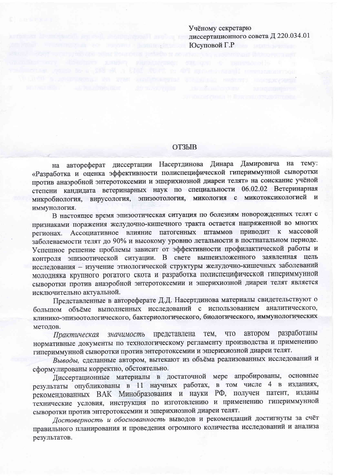Учёному секретарю диссертационного совета Д 220.034.01 Юсуповой Г.Р

## **ОТЗЫВ**

на автореферат диссертации Насертдинова Динара Дамировича на тему: «Разработка и оценка эффективности полиспецифической гипериммунной сыворотки против анаэробной энтеротоксемии и эшерихиозной диареи телят» на соискание учёной степени кандидата ветеринарных наук по специальности 06.02.02 Ветеринарная микробиология, вирусология, эпизоотология, микология с микотоксикологией и иммунология.

В настоящее время эпизоотическая ситуация по болезням новорожденных телят с признаками поражения желудочно-кишечного тракта остается напряженной во многих регионах. Ассоциативное влияние патогенных штаммов приводит к массовой заболеваемости телят до 90% и высокому уровню летальности в постнатальном периоде. Успешное решение проблемы зависит от эффективности профилактической работы и контроля эпизоотической ситуации. В свете вышеизложенного заявленная цель исследования - изучение этиологической структуры желудочно-кишечных заболеваний молодняка крупного рогатого скота и разработка полиспецифической гипериммунной сыворотки против анаэробной энтеротоксемии и эшерихиозной диареи телят является исключительно актуальной.

Представленные в автореферате Д.Д. Насертдинова материалы свидетельствуют о большом объёме выполненных исследований с использованием аналитического, клинико-эпизоотологического, бактериологического, биологического, иммунологических метолов.

разработаны автором представлена тем, **ЧТО** Практическая значимость нормативные документы по технологическому регламенту производства и применению гипериммунной сыворотки против энтеротоксемии и эшерихиозной диареи телят.

Выводы, сделанные автором, вытекают из объёма реализованных исследований и сформулированы корректно, обстоятельно.

Диссертационные материалы в достаточной мере апробированы, основные результаты опубликованы в 11 научных работах, в том числе 4 в изданиях, рекомендованных ВАК Минобразования и науки РФ, получен патент, изданы технические условия, инструкция по изготовлению и применению гипериммунной сыворотки против энтеротоксемии и эшерихиозной диареи телят.

Достоверность и обоснованность выводов и рекомендаций достигнуты за счёт правильного планирования и проведения огромного количества исследований и анализа результатов.